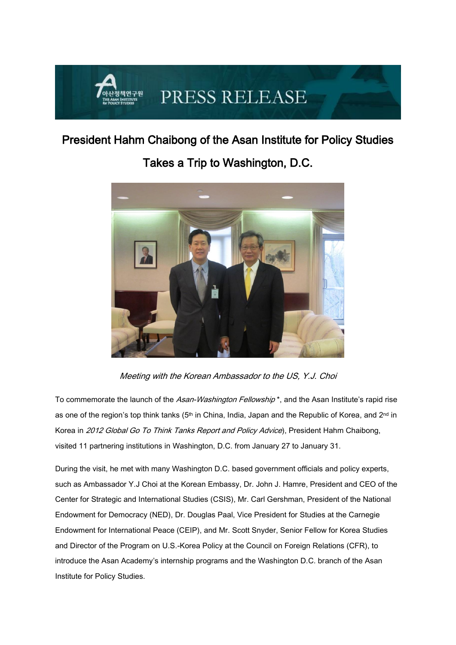## PRESS RELEASE

## President Hahm Chaibong of the Asan Institute for Policy Studies



Takes a Trip to Washington, D.C.

Meeting with the Korean Ambassador to the US, Y.J. Choi

To commemorate the launch of the Asan-Washington Fellowship<sup>\*</sup>, and the Asan Institute's rapid rise as one of the region's top think tanks (5<sup>th</sup> in China, India, Japan and the Republic of Korea, and 2<sup>nd</sup> in Korea in 2012 Global Go To Think Tanks Report and Policy Advice), President Hahm Chaibong, visited 11 partnering institutions in Washington, D.C. from January 27 to January 31.

During the visit, he met with many Washington D.C. based government officials and policy experts, such as Ambassador Y.J Choi at the Korean Embassy, Dr. John J. Hamre, President and CEO of the Center for Strategic and International Studies (CSIS), Mr. Carl Gershman, President of the National Endowment for Democracy (NED), Dr. Douglas Paal, Vice President for Studies at the Carnegie Endowment for International Peace (CEIP), and Mr. Scott Snyder, Senior Fellow for Korea Studies and Director of the Program on U.S.-Korea Policy at the Council on Foreign Relations (CFR), to introduce the Asan Academy's internship programs and the Washington D.C. branch of the Asan Institute for Policy Studies.